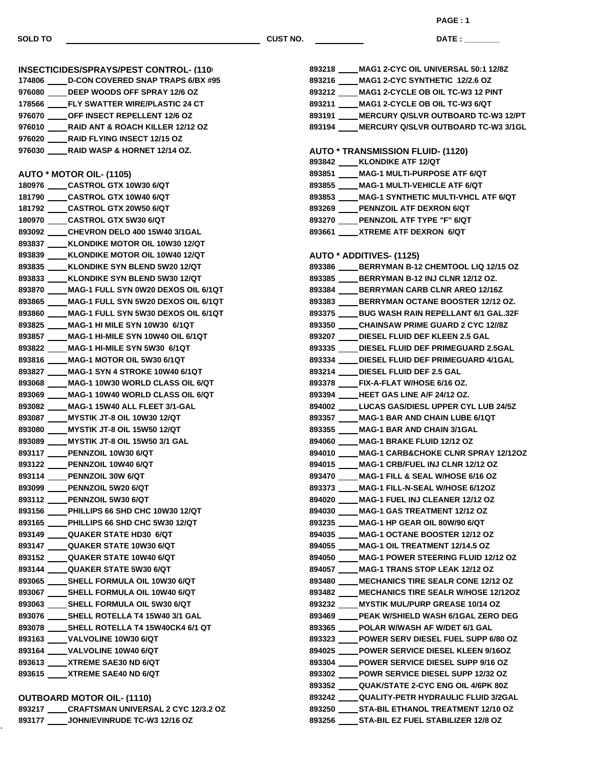**SOLD TO CUST NO.**

**PAGE : 1**

**DATE : \_\_\_\_\_\_\_\_\_\_\_\_\_\_\_**

| <b>INSECTICIDES/SPRAYS/PEST CONTROL- (110)</b> |                                                 |  |
|------------------------------------------------|-------------------------------------------------|--|
|                                                | 174806 ____ D-CON COVERED SNAP TRAPS 6/BX #95   |  |
|                                                | 976080 ____ DEEP WOODS OFF SPRAY 12/6 OZ        |  |
|                                                | 178566 ____FLY SWATTER WIRE/PLASTIC 24 CT       |  |
|                                                | 976070 _____ OFF INSECT REPELLENT 12/6 OZ       |  |
|                                                | 976010 _____ RAID ANT & ROACH KILLER 12/12 OZ   |  |
|                                                | 976020 _____ RAID FLYING INSECT 12/15 OZ        |  |
|                                                | 976030 _____ RAID WASP & HORNET 12/14 OZ.       |  |
|                                                |                                                 |  |
|                                                | <b>AUTO * MOTOR OIL- (1105)</b>                 |  |
|                                                | 180976 _____CASTROL GTX 10W30 6/QT              |  |
|                                                | 181790 _____ CASTROL GTX 10W40 6/QT             |  |
|                                                | 181792 _____ CASTROL GTX 20W50 6/QT             |  |
|                                                | 180970 _____ CASTROL GTX 5W30 6/QT              |  |
|                                                | 893092 _____ CHEVRON DELO 400 15W40 3/1GAL      |  |
|                                                | 893837 ____ KLONDIKE MOTOR OIL 10W30 12/QT      |  |
|                                                | 893839 ____ KLONDIKE MOTOR OIL 10W40 12/QT      |  |
|                                                | 893835 ____ KLONDIKE SYN BLEND 5W20 12/QT       |  |
|                                                | 893833 ____ KLONDIKE SYN BLEND 5W30 12/QT       |  |
|                                                | 893870 ____ MAG-1 FULL SYN 0W20 DEXOS OIL 6/1QT |  |
|                                                | 893865 ____ MAG-1 FULL SYN 5W20 DEXOS OIL 6/1QT |  |
|                                                | 893860 ____ MAG-1 FULL SYN 5W30 DEXOS OIL 6/1QT |  |
|                                                | 893825 ____ MAG-1 HI MILE SYN 10W30 6/1QT       |  |
|                                                | 893857 ____ MAG-1 HI-MILE SYN 10W40 OIL 6/1QT   |  |
|                                                | 893822 ____ MAG-1 HI-MILE SYN 5W30 6/1QT        |  |
|                                                | 893816 ____ MAG-1 MOTOR OIL 5W30 6/1QT          |  |
|                                                | 893827 ____ MAG-1 SYN 4 STROKE 10W40 6/1QT      |  |
|                                                | 893068 ____ MAG-1 10W30 WORLD CLASS OIL 6/QT    |  |
|                                                | 893069 ____ MAG-1 10W40 WORLD CLASS OIL 6/QT    |  |
|                                                | 893082 ____ MAG-1 15W40 ALL FLEET 3/1-GAL       |  |
|                                                | 893087 ____ MYSTIK JT-8 OIL 10W30 12/QT         |  |
|                                                | 893080 ____ MYSTIK JT-8 OIL 15W50 12/QT         |  |
|                                                | 893089 ____ MYSTIK JT-8 OIL 15W50 3/1 GAL       |  |
|                                                | 893117 ____PENNZOIL 10W30 6/QT                  |  |
|                                                | 893122 PENNZOIL 10W40 6/QT                      |  |
|                                                | 893114 ____PENNZOIL 30W 6/QT                    |  |
|                                                | 893099 _____ PENNZOIL 5W20 6/QT                 |  |
|                                                | 893112 ____PENNZOIL 5W30 6/QT                   |  |
|                                                | 893156 ____ PHILLIPS 66 SHD CHC 10W30 12/QT     |  |
|                                                | 893165 ____ PHILLIPS 66 SHD CHC 5W30 12/QT      |  |
|                                                | 893149 _____ QUAKER STATE HD30 6/QT             |  |
|                                                | 893147 _____ QUAKER STATE 10W30 6/QT            |  |
|                                                | 893152 _____ QUAKER STATE 10W40 6/QT            |  |
|                                                | 893144 _____ QUAKER STATE 5W30 6/QT             |  |
|                                                | 893065 _____ SHELL FORMULA OIL 10W30 6/QT       |  |
|                                                | 893067 _____ SHELL FORMULA OIL 10W40 6/QT       |  |
|                                                | 893063 _____ SHELL FORMULA OIL 5W30 6/QT        |  |
|                                                | 893076 _____ SHELL ROTELLA T4 15W40 3/1 GAL     |  |
|                                                | 893078 _____ SHELL ROTELLA T4 15W40CK4 6/1 QT   |  |
|                                                | 893163 ____ VALVOLINE 10W30 6/QT                |  |
|                                                | 893164 ____VALVOLINE 10W40 6/QT                 |  |
|                                                | 893613 ____ XTREME SAE30 ND 6/QT                |  |
|                                                | 893615 ____ XTREME SAE40 ND 6/QT                |  |
|                                                |                                                 |  |

| <b>OUTBOARD MOTOR OIL- (1110)</b> |                                            |  |
|-----------------------------------|--------------------------------------------|--|
| 893217                            | <b>CRAFTSMAN UNIVERSAL 2 CYC 12/3.2 OZ</b> |  |
| 893177                            | <b>JOHN/EVINRUDE TC-W3 12/16 OZ</b>        |  |

k,

| 893218 ____ MAG1 2-CYC OIL UNIVERSAL 50:1 12/8Z                                  |
|----------------------------------------------------------------------------------|
| 893216 ____ MAG1 2-CYC SYNTHETIC 12/2.6 OZ                                       |
| 893212 ____ MAG1 2-CYCLE OB OIL TC-W3 12 PINT                                    |
| 893211 ____ MAG1 2-CYCLE OB OIL TC-W3 6/QT                                       |
| 893191 ____ MERCURY Q/SLVR OUTBOARD TC-W3 12/PT                                  |
| 893194 MERCURY Q/SLVR OUTBOARD TC-W3 3/1GL                                       |
|                                                                                  |
| <b>AUTO * TRANSMISSION FLUID- (1120)</b>                                         |
| 893842 ____ KLONDIKE ATF 12/QT                                                   |
| 893851 ____ MAG-1 MULTI-PURPOSE ATF 6/QT                                         |
| 893855 ____ MAG-1 MULTI-VEHICLE ATF 6/QT                                         |
| 893853 ____ MAG-1 SYNTHETIC MULTI-VHCL ATF 6/QT                                  |
| 893269 ____ PENNZOIL ATF DEXRON 6/QT                                             |
| 893270 ____ PENNZOIL ATF TYPE "F" 6/QT                                           |
| 893661 XTREME ATF DEXRON 6/QT                                                    |
|                                                                                  |
| <b>AUTO * ADDITIVES- (1125)</b>                                                  |
| 893386 BERRYMAN B-12 CHEMTOOL LIQ 12/15 OZ                                       |
| 893385 _____ BERRYMAN B-12 INJ CLNR 12/12 OZ.                                    |
| 893384 ____ BERRYMAN CARB CLNR AREO 12/16Z                                       |
| 893383 _____ BERRYMAN OCTANE BOOSTER 12/12 OZ.                                   |
| 893375 _____ BUG WASH RAIN REPELLANT 6/1 GAL.32F                                 |
| 893350 _____ CHAINSAW PRIME GUARD 2 CYC 12//8Z                                   |
| 893207 _____ DIESEL FLUID DEF KLEEN 2.5 GAL                                      |
| 893335 ____ DIESEL FLUID DEF PRIMEGUARD 2.5GAL                                   |
| 893334 ____DIESEL FLUID DEF PRIMEGUARD 4/1GAL                                    |
| 893214 _____ DIESEL FLUID DEF 2.5 GAL                                            |
| 893378 ____FIX-A-FLAT W/HOSE 6/16 OZ.                                            |
| 893394 _____HEET GAS LINE A/F 24/12 OZ.                                          |
| 894002 ____ LUCAS GAS/DIESL UPPER CYL LUB 24/5Z                                  |
| 893357 ____ MAG-1 BAR AND CHAIN LUBE 6/1QT                                       |
| 893355 ____ MAG-1 BAR AND CHAIN 3/1GAL<br>894060 ____ MAG-1 BRAKE FLUID 12/12 OZ |
| 894010 ____ MAG-1 CARB&CHOKE CLNR SPRAY 12/12OZ                                  |
| 894015 MAG-1 CRB/FUEL INJ CLNR 12/12 OZ                                          |
| 893470 _____ MAG-1 FILL & SEAL W/HOSE 6/16 OZ                                    |
| 893373 _____ MAG-1 FILL-N-SEAL W/HOSE 6/12OZ                                     |
| 894020 MAG-1 FUEL INJ CLEANER 12/12 OZ                                           |
| 894030 MAG-1 GAS TREATMENT 12/12 OZ                                              |
| 893235 MAG-1 HP GEAR OIL 80W/90 6/QT                                             |
| 894035 ____ MAG-1 OCTANE BOOSTER 12/12 OZ                                        |
| 894055 _____ MAG-1 OIL TREATMENT 12/14.5 OZ                                      |
| 894050 MAG-1 POWER STEERING FLUID 12/12 OZ                                       |
| 894057 MAG-1 TRANS STOP LEAK 12/12 OZ                                            |
| 893480 MECHANICS TIRE SEALR CONE 12/12 OZ                                        |
| 893482 ____ MECHANICS TIRE SEALR W/HOSE 12/12OZ                                  |
| 893232 ____ MYSTIK MUL/PURP GREASE 10/14 OZ                                      |
| 893469 PEAK W/SHIELD WASH 6/1GAL ZERO DEG                                        |
| 893365 POLAR W/WASH AF W/DET 6/1 GAL                                             |
| 893323 ____POWER SERV DIESEL FUEL SUPP 6/80 OZ                                   |
| 894025 POWER SERVICE DIESEL KLEEN 9/16OZ                                         |
| 893304 _____ POWER SERVICE DIESEL SUPP 9/16 OZ                                   |
| 893302 _____ POWR SERVICE DIESEL SUPP 12/32 OZ                                   |
| 893352 ____ QUAK/STATE 2-CYC ENG OIL 4/6PK 80Z                                   |
| 893242 ____ QUALITY-PETR HYDRAULIC FLUID 3/2GAL                                  |
| 893250 _____ STA-BIL ETHANOL TREATMENT 12/10 OZ                                  |
| 893256 _____ STA-BIL EZ FUEL STABILIZER 12/8 OZ                                  |
|                                                                                  |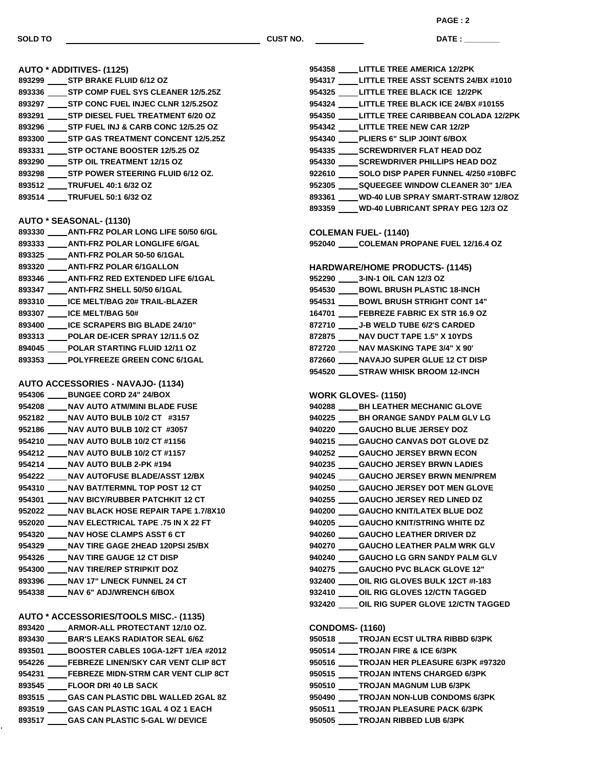**SOLD TO CUST NO.**

**PAGE : 2**

**DATE : \_\_\_\_\_\_\_\_\_\_\_\_\_\_\_**

| <b>AUTO * ADDITIVES- (1125)</b>                  |
|--------------------------------------------------|
| 893299 _____ STP BRAKE FLUID 6/12 OZ             |
| 893336 _____ STP COMP FUEL SYS CLEANER 12/5.25Z  |
| 893297 _____ STP CONC FUEL INJEC CLNR 12/5.25OZ  |
| 893291 _____ STP DIESEL FUEL TREATMENT 6/20 OZ   |
| 893296 _____ STP FUEL INJ & CARB CONC 12/5.25 OZ |
| 893300 _____ STP GAS TREATMENT CONCENT 12/5.25Z  |
| 893331 _____ STP OCTANE BOOSTER 12/5.25 OZ       |
| 893290 _____ STP OIL TREATMENT 12/15 OZ          |
| 893298 _____ STP POWER STEERING FLUID 6/12 OZ.   |
| 893512 _____TRUFUEL 40:1 6/32 OZ                 |
| 893514 ____TRUFUEL 50:1 6/32 OZ                  |
|                                                  |
| AUTO * SEASONAL- (1130)                          |
| 893330 _____ ANTI-FRZ POLAR LONG LIFE 50/50 6/GL |
| 893333 _____ ANTI-FRZ POLAR LONGLIFE 6/GAL       |
| 893325 _____ ANTI-FRZ POLAR 50-50 6/1GAL         |
| 893320 _____ ANTI-FRZ POLAR 6/1GALLON            |
| 893346 _____ ANTI-FRZ RED EXTENDED LIFE 6/1GAL   |
| 893347 _____ ANTI-FRZ SHELL 50/50 6/1GAL         |
| 893310 _____ ICE MELT/BAG 20# TRAIL-BLAZER       |
| 893307 _____ ICE MELT/BAG 50#                    |
| 893400 _____ ICE SCRAPERS BIG BLADE 24/10"       |
| 893313 _____ POLAR DE-ICER SPRAY 12/11.5 OZ      |
| 894045 _____ POLAR STARTING FLUID 12/11 OZ       |
| 893353 ____ POLYFREEZE GREEN CONC 6/1GAL         |
|                                                  |
| <b>AUTO ACCESSORIES - NAVAJO- (1134)</b>         |
| 954306 _____ BUNGEE CORD 24" 24/BOX              |
| 954208 _____ NAV AUTO ATM/MINI BLADE FUSE        |
| 952182 _____ NAV AUTO BULB 10/2 CT #3157         |
| 952186 _____ NAV AUTO BULB 10/2 CT #3057         |
| 954210 _____ NAV AUTO BULB 10/2 CT #1156         |
| 954212 _____ NAV AUTO BULB 10/2 CT #1157         |
| 954214 _____ NAV AUTO BULB 2-PK #194             |
| 954222 _____ NAV AUTOFUSE BLADE/ASST 12/BX       |
| 954310 ____ NAV BAT/TERMNL TOP POST 12 CT        |
| 954301 ____ NAV BICY/RUBBER PATCHKIT 12 CT       |
| 952022 ____ NAV BLACK HOSE REPAIR TAPE 1.7/8X10  |
| 952020 _____ NAV ELECTRICAL TAPE .75 IN X 22 FT  |
| 954320 ____ NAV HOSE CLAMPS ASST 6 CT            |
| 954329 _____ NAV TIRE GAGE 2HEAD 120PSI 25/BX    |
| 954326 ____ NAV TIRE GAUGE 12 CT DISP            |
| 954300 ____ NAV TIRE/REP STRIPKIT DOZ            |
| 893396 _____ NAV 17" L/NECK FUNNEL 24 CT         |
| 954338 _____ NAV 6" ADJ/WRENCH 6/BOX             |
|                                                  |
| AUTO * ACCESSORIES/TOOLS MISC.- (1135)           |
| 893420 ____ ARMOR-ALL PROTECTANT 12/10 OZ.       |
| 893430 _____ BAR'S LEAKS RADIATOR SEAL 6/6Z      |
| 893501 _____ BOOSTER CABLES 10GA-12FT 1/EA #2012 |
| 954226 ____FEBREZE LINEN/SKY CAR VENT CLIP 8CT   |
| 954231 ____FEBREZE MIDN-STRM CAR VENT CLIP 8CT   |
| 893545 _____ FLOOR DRI 40 LB SACK                |
| 893515 ____GAS CAN PLASTIC DBL WALLED 2GAL 8Z    |
| 893519 _____ GAS CAN PLASTIC 1GAL 4 OZ 1 EACH    |
| 893517 _____ GAS CAN PLASTIC 5-GAL W/ DEVICE     |

|                        | 954358 _____ LITTLE TREE AMERICA 12/2PK          |
|------------------------|--------------------------------------------------|
|                        | 954317 ____ LITTLE TREE ASST SCENTS 24/BX #1010  |
|                        | 954325 _____ LITTLE TREE BLACK ICE 12/2PK        |
|                        | 954324 _____ LITTLE TREE BLACK ICE 24/BX #10155  |
|                        | 954350 ____ LITTLE TREE CARIBBEAN COLADA 12/2PK  |
|                        | 954342 _____ LITTLE TREE NEW CAR 12/2P           |
|                        | 954340 ____PLIERS 6" SLIP JOINT 6/BOX            |
|                        | 954335 _____ SCREWDRIVER FLAT HEAD DOZ           |
|                        | 954330 SCREWDRIVER PHILLIPS HEAD DOZ             |
|                        | 922610 _____ SOLO DISP PAPER FUNNEL 4/250 #10BFC |
|                        | 952305 _____ SQUEEGEE WINDOW CLEANER 30" 1/EA    |
|                        | 893361 WD-40 LUB SPRAY SMART-STRAW 12/80Z        |
|                        | 893359 ____ WD-40 LUBRICANT SPRAY PEG 12/3 OZ    |
|                        |                                                  |
|                        | <b>COLEMAN FUEL- (1140)</b>                      |
|                        | 952040 COLEMAN PROPANE FUEL 12/16.4 OZ           |
|                        |                                                  |
|                        | <b>HARDWARE/HOME PRODUCTS- (1145)</b>            |
|                        | 952290 _____ 3-IN-1 OIL CAN 12/3 OZ              |
|                        | 954530 _____ BOWL BRUSH PLASTIC 18-INCH          |
|                        | 954531 _____ BOWL BRUSH STRIGHT CONT 14"         |
|                        | 164701 ____FEBREZE FABRIC EX STR 16.9 OZ         |
|                        | 872710 _____ J-B WELD TUBE 6/2'S CARDED          |
|                        | 872875 _____ NAV DUCT TAPE 1.5" X 10YDS          |
|                        | 872720 ____ NAV MASKING TAPE 3/4" X 90'          |
|                        | 872660 _____ NAVAJO SUPER GLUE 12 CT DISP        |
|                        | 954520 _____ STRAW WHISK BROOM 12-INCH           |
|                        |                                                  |
|                        | <b>WORK GLOVES- (1150)</b>                       |
|                        | 940288 _____ BH LEATHER MECHANIC GLOVE           |
|                        | 940225 _____ BH ORANGE SANDY PALM GLV LG         |
|                        | 940220 _____ GAUCHO BLUE JERSEY DOZ              |
|                        | 940215 _____ GAUCHO CANVAS DOT GLOVE DZ          |
|                        | 940252 _____ GAUCHO JERSEY BRWN ECON             |
|                        | 940235 _____ GAUCHO JERSEY BRWN LADIES           |
|                        | 940245 _____ GAUCHO JERSEY BRWN MEN/PREM         |
|                        | 940250 ____ GAUCHO JERSEY DOT MEN GLOVE          |
|                        | 940255 GAUCHO JERSEY RED LINED DZ                |
|                        | 940200 _____ GAUCHO KNIT/LATEX BLUE DOZ          |
|                        | 940205 _____ GAUCHO KNIT/STRING WHITE DZ         |
|                        | 940260 _____ GAUCHO LEATHER DRIVER DZ            |
|                        | 940270 _____ GAUCHO LEATHER PALM WRK GLV         |
|                        | 940240 _____ GAUCHO LG GRN SANDY PALM GLV        |
|                        | 940275 _____ GAUCHO PVC BLACK GLOVE 12"          |
|                        | 932400 _____ OIL RIG GLOVES BULK 12CT #I-183     |
|                        | 932410 _____ OIL RIG GLOVES 12/CTN TAGGED        |
|                        |                                                  |
|                        | 932420 ____ OIL RIG SUPER GLOVE 12/CTN TAGGED    |
|                        |                                                  |
| <b>CONDOMS- (1160)</b> |                                                  |
|                        | 950518 ____ TROJAN ECST ULTRA RIBBD 6/3PK        |
|                        | 950514 _____ TROJAN FIRE & ICE 6/3PK             |
|                        | 950516 ____ TROJAN HER PLEASURE 6/3PK #97320     |

**TROJAN NON-LUB CONDOMS 6/3PK**

- **TROJAN PLEASURE PACK 6/3PK**
- **TROJAN RIBBED LUB 6/3PK**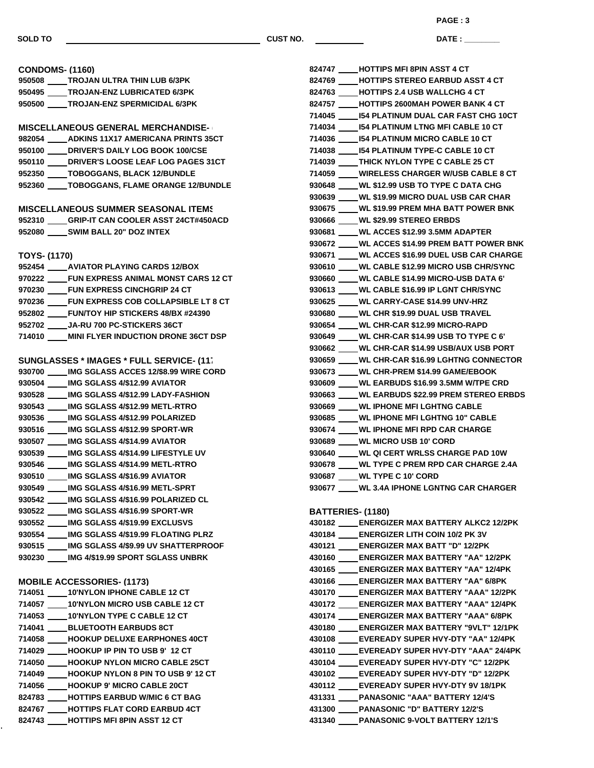**DATE : \_\_\_\_\_\_\_\_\_\_\_\_\_\_\_ PAGE : 3**

| <b>CONDOMS- (1160)</b>                                                                    | 824747 HOTTIPS MFI 8PIN ASST 4 CT                    |
|-------------------------------------------------------------------------------------------|------------------------------------------------------|
| 950508 _____ TROJAN ULTRA THIN LUB 6/3PK                                                  | 824769<br><b>HOTTIPS STEREO EARBUD ASST 4 CT</b>     |
| 950495 TROJAN-ENZ LUBRICATED 6/3PK                                                        | 824763 HOTTIPS 2.4 USB WALLCHG 4 CT                  |
| 950500 TROJAN-ENZ SPERMICIDAL 6/3PK                                                       | 824757 HOTTIPS 2600MAH POWER BANK 4 CT               |
|                                                                                           | 714045 I54 PLATINUM DUAL CAR FAST CHG 10CT           |
| <b>MISCELLANEOUS GENERAL MERCHANDISE-</b>                                                 | 714034 IS4 PLATINUM LTNG MFI CABLE 10 CT             |
| 982054 ADKINS 11X17 AMERICANA PRINTS 35CT                                                 | 714036 _____ I54 PLATINUM MICRO CABLE 10 CT          |
| 950100 _____ DRIVER'S DAILY LOG BOOK 100/CSE                                              | 714038 _____ I54 PLATINUM TYPE-C CABLE 10 CT         |
| 950110 ____ DRIVER'S LOOSE LEAF LOG PAGES 31CT                                            | 714039 ____THICK NYLON TYPE C CABLE 25 CT            |
| 952350 _____ TOBOGGANS, BLACK 12/BUNDLE                                                   | 714059 ____ WIRELESS CHARGER W/USB CABLE 8 CT        |
| 952360 TOBOGGANS, FLAME ORANGE 12/BUNDLE                                                  | 930648 ____ WL \$12.99 USB TO TYPE C DATA CHG        |
|                                                                                           | 930639 ____WL \$19.99 MICRO DUAL USB CAR CHAR        |
| <b>MISCELLANEOUS SUMMER SEASONAL ITEMS</b>                                                | 930675 ____ WL \$19.99 PREM MHA BATT POWER BNK       |
| 952310 GRIP-IT CAN COOLER ASST 24CT#450ACD                                                | 930666 ____WL \$29.99 STEREO ERBDS                   |
| 952080 SWIM BALL 20" DOZ INTEX                                                            | 930681 ____ WL ACCES \$12.99 3.5MM ADAPTER           |
|                                                                                           | 930672 ____ WL ACCES \$14.99 PREM BATT POWER BNK     |
| <b>TOYS- (1170)</b>                                                                       | 930671 ____ WL ACCES \$16.99 DUEL USB CAR CHARGE     |
| 952454 AVIATOR PLAYING CARDS 12/BOX                                                       | 930610 ____ WL CABLE \$12.99 MICRO USB CHR/SYNC      |
| 970222 FUN EXPRESS ANIMAL MONST CARS 12 CT                                                | 930660 WL CABLE \$14.99 MICRO-USB DATA 6'            |
| 970230 ____FUN EXPRESS CINCHGRIP 24 CT                                                    | 930613 ____WL CABLE \$16.99 IP LGNT CHR/SYNC         |
| 970236 _____ FUN EXPRESS COB COLLAPSIBLE LT 8 CT                                          | 930625 ____ WL CARRY-CASE \$14.99 UNV-HRZ            |
| 952802 _____ FUN/TOY HIP STICKERS 48/BX #24390                                            | 930680 ____ WL CHR \$19.99 DUAL USB TRAVEL           |
| 952702 ____ JA-RU 700 PC-STICKERS 36CT                                                    | 930654 ____ WL CHR-CAR \$12.99 MICRO-RAPD            |
| 714010<br><b>MINI FLYER INDUCTION DRONE 36CT DSP</b>                                      | 930649 ____ WL CHR-CAR \$14.99 USB TO TYPE C 6'      |
|                                                                                           | 930662 ____WL CHR-CAR \$14.99 USB/AUX USB PORT       |
| <b>SUNGLASSES * IMAGES * FULL SERVICE- (11)</b>                                           | 930659 ____ WL CHR-CAR \$16.99 LGHTNG CONNECTOR      |
| 930700 IMG SGLASS ACCES 12/\$8.99 WIRE CORD                                               | 930673 ____WL CHR-PREM \$14.99 GAME/EBOOK            |
| 930504 ____ IMG SGLASS 4/\$12.99 AVIATOR                                                  | 930609 ____ WL EARBUDS \$16.99 3.5MM W/TPE CRD       |
| 930528 ____ IMG SGLASS 4/\$12.99 LADY-FASHION                                             | 930663 ____WL EARBUDS \$22.99 PREM STEREO ERBDS      |
| 930543 _____ IMG SGLASS 4/\$12.99 METL-RTRO                                               | 930669 ____ WL IPHONE MFI LGHTNG CABLE               |
| 930536 ____ IMG SGLASS 4/\$12.99 POLARIZED                                                | 930685 ____ WL IPHONE MFI LGHTNG 10" CABLE           |
| 930516 ____ IMG SGLASS 4/\$12.99 SPORT-WR                                                 | 930674 ____ WL IPHONE MFI RPD CAR CHARGE             |
| 930507 _____ IMG SGLASS 4/\$14.99 AVIATOR                                                 | 930689 ____WL MICRO USB 10' CORD                     |
| 930539 _____ IMG SGLASS 4/\$14.99 LIFESTYLE UV                                            | 930640 ____ WL QI CERT WRLSS CHARGE PAD 10W          |
| 930546 _____ IMG SGLASS 4/\$14.99 METL-RTRO                                               | 930678 WL TYPE C PREM RPD CAR CHARGE 2.4A            |
| 930510 ____ IMG SGLASS 4/\$16.99 AVIATOR                                                  | 930687 _____WL TYPE C 10' CORD                       |
| 930549 IMG SGLASS 4/\$16.99 METL-SPRT                                                     | 930677 WL 3.4A IPHONE LGNTNG CAR CHARGER             |
|                                                                                           |                                                      |
| IMG SGLASS 4/\$16.99 POLARIZED CL<br>930542                                               |                                                      |
| 930522<br>IMG SGLASS 4/\$16.99 SPORT-WR<br>930552<br><b>IMG SGLASS 4/\$19.99 EXCLUSVS</b> | <b>BATTERIES- (1180)</b>                             |
| IMG SGLASS 4/\$19.99 FLOATING PLRZ                                                        | 430182 ENERGIZER MAX BATTERY ALKC2 12/2PK            |
| 930554                                                                                    | 430184 ENERGIZER LITH COIN 10/2 PK 3V                |
| 930515 IMG SGLASS 4/\$9.99 UV SHATTERPROOF                                                | 430121<br><b>ENERGIZER MAX BATT "D" 12/2PK</b>       |
| 930230<br>IMG 4/\$19.99 SPORT SGLASS UNBRK                                                | 430160<br><b>ENERGIZER MAX BATTERY "AA" 12/2PK</b>   |
|                                                                                           | 430165<br><b>ENERGIZER MAX BATTERY "AA" 12/4PK</b>   |
| <b>MOBILE ACCESSORIES- (1173)</b>                                                         | 430166<br><b>ENERGIZER MAX BATTERY "AA" 6/8PK</b>    |
| 714051 10'NYLON IPHONE CABLE 12 CT                                                        | 430170<br><b>ENERGIZER MAX BATTERY "AAA" 12/2PK</b>  |
| 714057 10'NYLON MICRO USB CABLE 12 CT                                                     | 430172<br><b>ENERGIZER MAX BATTERY "AAA" 12/4PK</b>  |
| 714053 10'NYLON TYPE C CABLE 12 CT                                                        | 430174<br><b>ENERGIZER MAX BATTERY "AAA" 6/8PK</b>   |
| 714041 BLUETOOTH EARBUDS 8CT                                                              | 430180<br><b>ENERGIZER MAX BATTERY "9VLT" 12/1PK</b> |
| 714058 HOOKUP DELUXE EARPHONES 40CT                                                       | 430108<br>EVEREADY SUPER HVY-DTY "AA" 12/4PK         |
| 714029 HOOKUP IP PIN TO USB 9' 12 CT                                                      | 430110<br>EVEREADY SUPER HVY-DTY "AAA" 24/4PK        |
| 714050 HOOKUP NYLON MICRO CABLE 25CT                                                      | 430104<br>EVEREADY SUPER HVY-DTY "C" 12/2PK          |
| 714049<br><b>HOOKUP NYLON 8 PIN TO USB 9' 12 CT</b>                                       | 430102<br>EVEREADY SUPER HVY-DTY "D" 12/2PK          |
| 714056 HOOKUP 9' MICRO CABLE 20CT                                                         | 430112<br>EVEREADY SUPER HVY-DTY 9V 18/1PK           |
| 824783<br><b>HOTTIPS EARBUD W/MIC 6 CT BAG</b>                                            | 431331<br><b>PANASONIC "AAA" BATTERY 12/4'S</b>      |
| 824767<br><b>HOTTIPS FLAT CORD EARBUD 4CT</b>                                             | 431300<br><b>PANASONIC "D" BATTERY 12/2'S</b>        |
| 824743<br><b>HOTTIPS MFI 8PIN ASST 12 CT</b>                                              | <b>PANASONIC 9-VOLT BATTERY 12/1'S</b><br>431340     |

| 824747 HOTTIPS MFI 8PIN ASST 4 CT                 |
|---------------------------------------------------|
| 824769 HOTTIPS STEREO EARBUD ASST 4 CT            |
| 824763 _____ HOTTIPS 2.4 USB WALLCHG 4 CT         |
| 824757 _____ HOTTIPS 2600MAH POWER BANK 4 CT      |
| 714045 _____ I54 PLATINUM DUAL CAR FAST CHG 10CT  |
| 714034 _____ I54 PLATINUM LTNG MFI CABLE 10 CT    |
| 714036 _____ I54 PLATINUM MICRO CABLE 10 CT       |
| 714038 I54 PLATINUM TYPE-C CABLE 10 CT            |
| 714039 ____THICK NYLON TYPE C CABLE 25 CT         |
| 714059 ____WIRELESS CHARGER W/USB CABLE 8 CT      |
| 930648 ____WL \$12.99 USB TO TYPE C DATA CHG      |
| 930639 ____WL \$19.99 MICRO DUAL USB CAR CHAR     |
| 930675 ____ WL \$19.99 PREM MHA BATT POWER BNK    |
| 930666 ____WL \$29.99 STEREO ERBDS                |
| 930681 _____ WL ACCES \$12.99 3.5MM ADAPTER       |
| 930672 _____ WL ACCES \$14.99 PREM BATT POWER BNK |
| 930671 ____WL ACCES \$16.99 DUEL USB CAR CHARGE   |
| 930610 ____WL CABLE \$12.99 MICRO USB CHR/SYNC    |
| 930660 ____WL CABLE \$14.99 MICRO-USB DATA 6'     |
| 930613 ____WL CABLE \$16.99 IP LGNT CHR/SYNC      |
| 930625 ____ WL CARRY-CASE \$14.99 UNV-HRZ         |
| 930680 ____WL CHR \$19.99 DUAL USB TRAVEL         |
| 930654 ____WL CHR-CAR \$12.99 MICRO-RAPD          |
| 930649 ____WL CHR-CAR \$14.99 USB TO TYPE C 6'    |
| 930662 ____WL CHR-CAR \$14.99 USB/AUX USB PORT    |
| 930659 ____WL CHR-CAR \$16.99 LGHTNG CONNECTOR    |
| 930673 ____ WL CHR-PREM \$14.99 GAME/EBOOK        |
| 930609 ____ WL EARBUDS \$16.99 3.5MM W/TPE CRD    |
| 930663 ____WL EARBUDS \$22.99 PREM STEREO ERBDS   |
| 930669 ____WL IPHONE MFI LGHTNG CABLE             |
| 930685 ____WL IPHONE MFI LGHTNG 10" CABLE         |
| 930674 ____WL IPHONE MFI RPD CAR CHARGE           |
| 930689 ____WL MICRO USB 10' CORD                  |
| 930640 ____WL QI CERT WRLSS CHARGE PAD 10W        |
| 930678 WL TYPE C PREM RPD CAR CHARGE 2.4A         |
| 930687 ____WL TYPE C 10' CORD                     |
| 930677 ____ WL 3.4A IPHONE LGNTNG CAR CHARGER     |
|                                                   |
| <b>BATTERIES- (1180)</b>                          |
| 430182 _____ENERGIZER MAX BATTERY ALKC2 12/2PK    |
| 430184 ____ ENERGIZER LITH COIN 10/2 PK 3V        |
| 430121 _____ENERGIZER MAX BATT "D" 12/2PK         |
| 430160 _____ ENERGIZER MAX BATTERY "AA" 12/2PK    |
| 430165 _____ ENERGIZER MAX BATTERY "AA" 12/4PK    |
| 430166 _____ENERGIZER MAX BATTERY "AA" 6/8PK      |
| 430170 _____ENERGIZER MAX BATTERY "AAA" 12/2PK    |
| 430172 _____ENERGIZER MAX BATTERY "AAA" 12/4PK    |
| 430174 _____ ENERGIZER MAX BATTERY "AAA" 6/8PK    |
| 430180 _____ ENERGIZER MAX BATTERY "9VLT" 12/1PK  |
|                                                   |